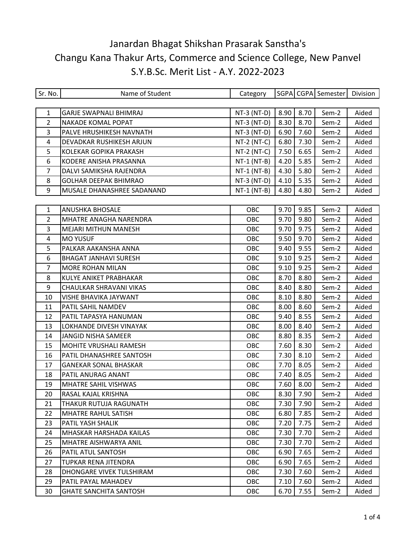| Sr. No.        | Name of Student               | Category      |      |      | SGPA CGPA Semester | Division |
|----------------|-------------------------------|---------------|------|------|--------------------|----------|
|                |                               |               |      |      |                    |          |
| $\mathbf{1}$   | <b>GARJE SWAPNALI BHIMRAJ</b> | $NT-3 (NT-D)$ | 8.90 | 8.70 | Sem-2              | Aided    |
| $\overline{2}$ | NAKADE KOMAL POPAT            | NT-3 (NT-D)   | 8.30 | 8.70 | Sem-2              | Aided    |
| 3              | PALVE HRUSHIKESH NAVNATH      | $NT-3 (NT-D)$ | 6.90 | 7.60 | Sem-2              | Aided    |
| 4              | DEVADKAR RUSHIKESH ARJUN      | $NT-2 (NT-C)$ | 6.80 | 7.30 | Sem-2              | Aided    |
| 5              | KOLEKAR GOPIKA PRAKASH        | $NT-2 (NT-C)$ | 7.50 | 6.65 | Sem-2              | Aided    |
| 6              | KODERE ANISHA PRASANNA        | $NT-1$ (NT-B) | 4.20 | 5.85 | Sem-2              | Aided    |
| 7              | DALVI SAMIKSHA RAJENDRA       | $NT-1$ (NT-B) | 4.30 | 5.80 | Sem-2              | Aided    |
| 8              | <b>GOLHAR DEEPAK BHIMRAO</b>  | $NT-3 (NT-D)$ | 4.10 | 5.35 | Sem-2              | Aided    |
| 9              | MUSALE DHANASHREE SADANAND    | $NT-1$ (NT-B) | 4.80 | 4.80 | Sem-2              | Aided    |
|                |                               |               |      |      |                    |          |
| $\mathbf{1}$   | <b>ANUSHKA BHOSALE</b>        | OBC           | 9.70 | 9.85 | Sem-2              | Aided    |
| $\overline{2}$ | MHATRE ANAGHA NARENDRA        | OBC           | 9.70 | 9.80 | Sem-2              | Aided    |
| 3              | <b>MEJARI MITHUN MANESH</b>   | OBC           | 9.70 | 9.75 | Sem-2              | Aided    |
| $\overline{4}$ | <b>MO YUSUF</b>               | OBC           | 9.50 | 9.70 | Sem-2              | Aided    |
| 5              | PALKAR AAKANSHA ANNA          | OBC           | 9.40 | 9.55 | Sem-2              | Aided    |
| 6              | <b>BHAGAT JANHAVI SURESH</b>  | OBC           | 9.10 | 9.25 | Sem-2              | Aided    |
| 7              | MORE ROHAN MILAN              | OBC           | 9.10 | 9.25 | Sem-2              | Aided    |
| 8              | KULYE ANIKET PRABHAKAR        | OBC           | 8.70 | 8.80 | Sem-2              | Aided    |
| 9              | CHAULKAR SHRAVANI VIKAS       | OBC           | 8.40 | 8.80 | Sem-2              | Aided    |
| 10             | VISHE BHAVIKA JAYWANT         | OBC           | 8.10 | 8.80 | Sem-2              | Aided    |
| 11             | PATIL SAHIL NAMDEV            | OBC           | 8.00 | 8.60 | Sem-2              | Aided    |
| 12             | PATIL TAPASYA HANUMAN         | OBC           | 9.40 | 8.55 | Sem-2              | Aided    |
| 13             | LOKHANDE DIVESH VINAYAK       | OBC           | 8.00 | 8.40 | Sem-2              | Aided    |
| 14             | <b>JANGID NISHA SAMEER</b>    | OBC           | 8.80 | 8.35 | Sem-2              | Aided    |
| 15             | MOHITE VRUSHALI RAMESH        | OBC           | 7.60 | 8.30 | Sem-2              | Aided    |
| 16             | PATIL DHANASHREE SANTOSH      | OBC           | 7.30 | 8.10 | Sem-2              | Aided    |
| 17             | <b>GANEKAR SONAL BHASKAR</b>  | OBC           | 7.70 | 8.05 | Sem-2              | Aided    |
| 18             | PATIL ANURAG ANANT            | OBC           | 7.40 | 8.05 | Sem-2              | Aided    |
| 19             | <b>MHATRE SAHIL VISHWAS</b>   | OBC           | 7.60 | 8.00 | Sem-2              | Aided    |
| 20             | RASAL KAJAL KRISHNA           | OBC           | 8.30 | 7.90 | Sem-2              | Aided    |
| 21             | THAKUR RUTUJA RAGUNATH        | OBC           | 7.30 | 7.90 | Sem-2              | Aided    |
| 22             | <b>MHATRE RAHUL SATISH</b>    | OBC           | 6.80 | 7.85 | Sem-2              | Aided    |
| 23             | PATIL YASH SHALIK             | OBC           | 7.20 | 7.75 | Sem-2              | Aided    |
| 24             | MHASKAR HARSHADA KAILAS       | OBC           | 7.30 | 7.70 | Sem-2              | Aided    |
| 25             | MHATRE AISHWARYA ANIL         | OBC           | 7.30 | 7.70 | Sem-2              | Aided    |
| 26             | PATIL ATUL SANTOSH            | OBC           | 6.90 | 7.65 | Sem-2              | Aided    |
| 27             | TUPKAR RENA JITENDRA          | OBC           | 6.90 | 7.65 | Sem-2              | Aided    |
| 28             | DHONGARE VIVEK TULSHIRAM      | OBC           | 7.30 | 7.60 | Sem-2              | Aided    |
| 29             | PATIL PAYAL MAHADEV           | OBC           | 7.10 | 7.60 | Sem-2              | Aided    |
| 30             | <b>GHATE SANCHITA SANTOSH</b> | OBC           | 6.70 | 7.55 | Sem-2              | Aided    |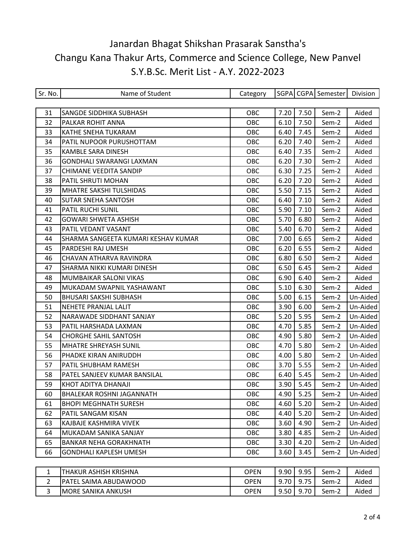| Sr. No.        | Name of Student                     | Category    |      |             | SGPA CGPA Semester | Division |
|----------------|-------------------------------------|-------------|------|-------------|--------------------|----------|
|                |                                     |             |      |             |                    |          |
| 31             | SANGDE SIDDHIKA SUBHASH             | OBC         | 7.20 | 7.50        | Sem-2              | Aided    |
| 32             | PALKAR ROHIT ANNA                   | OBC         | 6.10 | 7.50        | Sem-2              | Aided    |
| 33             | KATHE SNEHA TUKARAM                 | OBC         | 6.40 | 7.45        | Sem-2              | Aided    |
| 34             | PATIL NUPOOR PURUSHOTTAM            | OBC         | 6.20 | 7.40        | Sem-2              | Aided    |
| 35             | KAMBLE SARA DINESH                  | OBC         | 6.40 | 7.35        | Sem-2              | Aided    |
| 36             | GONDHALI SWARANGI LAXMAN            | OBC         | 6.20 | 7.30        | Sem-2              | Aided    |
| 37             | CHIMANE VEEDITA SANDIP              | OBC         | 6.30 | 7.25        | Sem-2              | Aided    |
| 38             | PATIL SHRUTI MOHAN                  | OBC         | 6.20 | 7.20        | Sem-2              | Aided    |
| 39             | MHATRE SAKSHI TULSHIDAS             | OBC         | 5.50 | 7.15        | Sem-2              | Aided    |
| 40             | SUTAR SNEHA SANTOSH                 | OBC         | 6.40 | 7.10        | Sem-2              | Aided    |
| 41             | PATIL RUCHI SUNIL                   | OBC         | 5.90 | 7.10        | Sem-2              | Aided    |
| 42             | GOWARI SHWETA ASHISH                | OBC         | 5.70 | 6.80        | Sem-2              | Aided    |
| 43             | PATIL VEDANT VASANT                 | OBC         | 5.40 | 6.70        | Sem-2              | Aided    |
| 44             | SHARMA SANGEETA KUMARI KESHAV KUMAR | OBC         | 7.00 | 6.65        | Sem-2              | Aided    |
| 45             | PARDESHI RAJ UMESH                  | OBC         | 6.20 | 6.55        | Sem-2              | Aided    |
| 46             | CHAVAN ATHARVA RAVINDRA             | OBC         | 6.80 | 6.50        | Sem-2              | Aided    |
| 47             | SHARMA NIKKI KUMARI DINESH          | OBC         | 6.50 | 6.45        | Sem-2              | Aided    |
| 48             | MUMBAIKAR SALONI VIKAS              | OBC         | 6.90 | 6.40        | Sem-2              | Aided    |
| 49             | MUKADAM SWAPNIL YASHAWANT           | OBC         | 5.10 | 6.30        | Sem-2              | Aided    |
| 50             | <b>BHUSARI SAKSHI SUBHASH</b>       | OBC         | 5.00 | 6.15        | Sem-2              | Un-Aided |
| 51             | NEHETE PRANJAL LALIT                | OBC         | 3.90 | 6.00        | Sem-2              | Un-Aided |
| 52             | NARAWADE SIDDHANT SANJAY            | OBC         | 5.20 | 5.95        | Sem-2              | Un-Aided |
| 53             | PATIL HARSHADA LAXMAN               | OBC         | 4.70 | 5.85        | Sem-2              | Un-Aided |
| 54             | <b>CHORGHE SAHIL SANTOSH</b>        | OBC         | 4.90 | 5.80        | Sem-2              | Un-Aided |
| 55             | <b>MHATRE SHREYASH SUNIL</b>        | OBC         | 4.70 | 5.80        | Sem-2              | Un-Aided |
| 56             | PHADKE KIRAN ANIRUDDH               | OBC         | 4.00 | 5.80        | Sem-2              | Un-Aided |
| 57             | PATIL SHUBHAM RAMESH                | OBC         | 3.70 | 5.55        | Sem-2              | Un-Aided |
| 58             | PATEL SANJEEV KUMAR BANSILAL        | OBC         | 6.40 | 5.45        | Sem-2              | Un-Aided |
| 59             | KHOT ADITYA DHANAJI                 | OBC         | 3.90 | 5.45        | Sem-2              | Un-Aided |
| 60             | <b>BHALEKAR ROSHNI JAGANNATH</b>    | OBC         |      | $4.90$ 5.25 | Sem-2              | Un-Aided |
| 61             | <b>BHOPI MEGHNATH SURESH</b>        | OBC         | 4.60 | 5.20        | Sem-2              | Un-Aided |
| 62             | PATIL SANGAM KISAN                  | OBC         | 4.40 | 5.20        | Sem-2              | Un-Aided |
| 63             | KAJBAJE KASHMIRA VIVEK              | OBC         | 3.60 | 4.90        | Sem-2              | Un-Aided |
| 64             | MUKADAM SANIKA SANJAY               | OBC         | 3.80 | 4.85        | Sem-2              | Un-Aided |
| 65             | <b>BANKAR NEHA GORAKHNATH</b>       | OBC         | 3.30 | 4.20        | Sem-2              | Un-Aided |
| 66             | GONDHALI KAPLESH UMESH              | OBC         | 3.60 | 3.45        | Sem-2              | Un-Aided |
|                |                                     |             |      |             |                    |          |
| $\mathbf{1}$   | THAKUR ASHISH KRISHNA               | <b>OPEN</b> | 9.90 | 9.95        | Sem-2              | Aided    |
| $\overline{2}$ | PATEL SAIMA ABUDAWOOD               | <b>OPEN</b> | 9.70 | 9.75        | Sem-2              | Aided    |
| 3              | <b>MORE SANIKA ANKUSH</b>           | <b>OPEN</b> | 9.50 | 9.70        | Sem-2              | Aided    |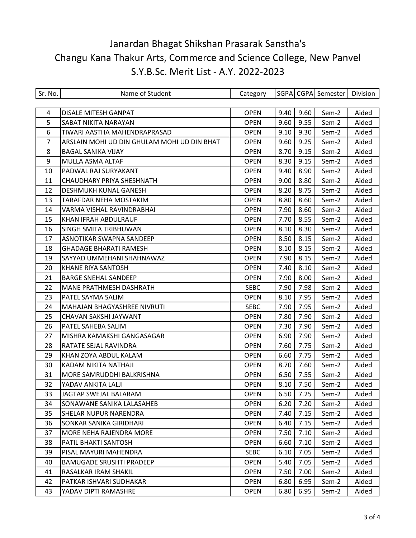| Sr. No. | Name of Student                             | Category    |      |      | SGPA CGPA Semester | Division |
|---------|---------------------------------------------|-------------|------|------|--------------------|----------|
|         |                                             |             |      |      |                    |          |
| 4       | DISALE MITESH GANPAT                        | <b>OPEN</b> | 9.40 | 9.60 | Sem-2              | Aided    |
| 5       | SABAT NIKITA NARAYAN                        | <b>OPEN</b> | 9.60 | 9.55 | Sem-2              | Aided    |
| 6       | TIWARI AASTHA MAHENDRAPRASAD                | <b>OPEN</b> | 9.10 | 9.30 | Sem-2              | Aided    |
| 7       | ARSLAIN MOHI UD DIN GHULAM MOHI UD DIN BHAT | <b>OPEN</b> | 9.60 | 9.25 | Sem-2              | Aided    |
| 8       | <b>BAGAL SANIKA VIJAY</b>                   | <b>OPEN</b> | 8.70 | 9.15 | Sem-2              | Aided    |
| 9       | MULLA ASMA ALTAF                            | <b>OPEN</b> | 8.30 | 9.15 | Sem-2              | Aided    |
| 10      | PADWAL RAJ SURYAKANT                        | <b>OPEN</b> | 9.40 | 8.90 | Sem-2              | Aided    |
| 11      | CHAUDHARY PRIYA SHESHNATH                   | <b>OPEN</b> | 9.00 | 8.80 | Sem-2              | Aided    |
| 12      | DESHMUKH KUNAL GANESH                       | <b>OPEN</b> | 8.20 | 8.75 | Sem-2              | Aided    |
| 13      | TARAFDAR NEHA MOSTAKIM                      | <b>OPEN</b> | 8.80 | 8.60 | Sem-2              | Aided    |
| 14      | VARMA VISHAL RAVINDRABHAI                   | <b>OPEN</b> | 7.90 | 8.60 | Sem-2              | Aided    |
| 15      | KHAN IFRAH ABDULRAUF                        | <b>OPEN</b> | 7.70 | 8.55 | Sem-2              | Aided    |
| 16      | SINGH SMITA TRIBHUWAN                       | <b>OPEN</b> | 8.10 | 8.30 | Sem-2              | Aided    |
| 17      | ASNOTIKAR SWAPNA SANDEEP                    | <b>OPEN</b> | 8.50 | 8.15 | Sem-2              | Aided    |
| 18      | <b>GHADAGE BHARATI RAMESH</b>               | <b>OPEN</b> | 8.10 | 8.15 | Sem-2              | Aided    |
| 19      | SAYYAD UMMEHANI SHAHNAWAZ                   | <b>OPEN</b> | 7.90 | 8.15 | Sem-2              | Aided    |
| 20      | <b>KHANE RIYA SANTOSH</b>                   | <b>OPEN</b> | 7.40 | 8.10 | Sem-2              | Aided    |
| 21      | <b>BARGE SNEHAL SANDEEP</b>                 | <b>OPEN</b> | 7.90 | 8.00 | Sem-2              | Aided    |
| 22      | MANE PRATHMESH DASHRATH                     | <b>SEBC</b> | 7.90 | 7.98 | Sem-2              | Aided    |
| 23      | PATEL SAYMA SALIM                           | <b>OPEN</b> | 8.10 | 7.95 | Sem-2              | Aided    |
| 24      | MAHAJAN BHAGYASHREE NIVRUTI                 | <b>SEBC</b> | 7.90 | 7.95 | Sem-2              | Aided    |
| 25      | CHAVAN SAKSHI JAYWANT                       | <b>OPEN</b> | 7.80 | 7.90 | Sem-2              | Aided    |
| 26      | PATEL SAHEBA SALIM                          | <b>OPEN</b> | 7.30 | 7.90 | Sem-2              | Aided    |
| 27      | MISHRA KAMAKSHI GANGASAGAR                  | <b>OPEN</b> | 6.90 | 7.90 | Sem-2              | Aided    |
| 28      | RATATE SEJAL RAVINDRA                       | <b>OPEN</b> | 7.60 | 7.75 | Sem-2              | Aided    |
| 29      | KHAN ZOYA ABDUL KALAM                       | <b>OPEN</b> | 6.60 | 7.75 | Sem-2              | Aided    |
| 30      | KADAM NIKITA NATHAJI                        | <b>OPEN</b> | 8.70 | 7.60 | Sem-2              | Aided    |
| 31      | MORE SAMRUDDHI BALKRISHNA                   | <b>OPEN</b> | 6.50 | 7.55 | Sem-2              | Aided    |
| 32      | YADAV ANKITA LALJI                          | <b>OPEN</b> | 8.10 | 7.50 | Sem-2              | Aided    |
| 33      | JAGTAP SWEJAL BALARAM                       | OPEN        | 6.50 | 7.25 | Sem-2              | Aided    |
| 34      | SONAWANE SANIKA LALASAHEB                   | <b>OPEN</b> | 6.20 | 7.20 | Sem-2              | Aided    |
| 35      | SHELAR NUPUR NARENDRA                       | <b>OPEN</b> | 7.40 | 7.15 | Sem-2              | Aided    |
| 36      | SONKAR SANIKA GIRIDHARI                     | <b>OPEN</b> | 6.40 | 7.15 | Sem-2              | Aided    |
| 37      | MORE NEHA RAJENDRA MORE                     | <b>OPEN</b> | 7.50 | 7.10 | Sem-2              | Aided    |
| 38      | PATIL BHAKTI SANTOSH                        | <b>OPEN</b> | 6.60 | 7.10 | Sem-2              | Aided    |
| 39      | PISAL MAYURI MAHENDRA                       | <b>SEBC</b> | 6.10 | 7.05 | Sem-2              | Aided    |
| 40      | <b>BAMUGADE SRUSHTI PRADEEP</b>             | <b>OPEN</b> | 5.40 | 7.05 | Sem-2              | Aided    |
| 41      | RASALKAR IRAM SHAKIL                        | <b>OPEN</b> | 7.50 | 7.00 | Sem-2              | Aided    |
| 42      | PATKAR ISHVARI SUDHAKAR                     | <b>OPEN</b> | 6.80 | 6.95 | Sem-2              | Aided    |
| 43      | YADAV DIPTI RAMASHRE                        | <b>OPEN</b> | 6.80 | 6.95 | Sem-2              | Aided    |